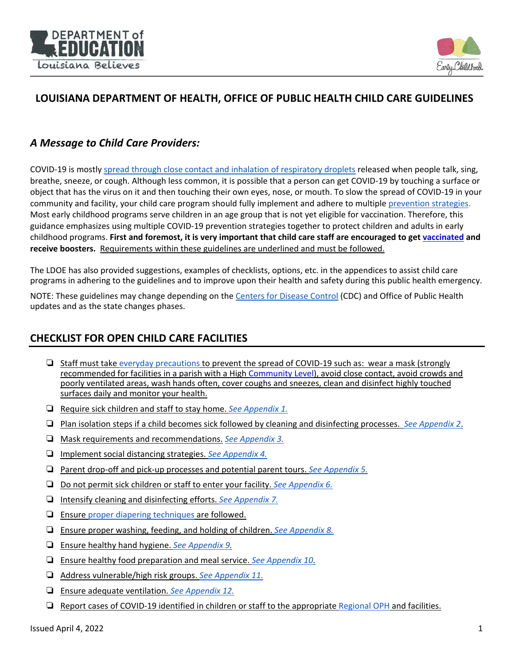



# **LOUISIANA DEPARTMENT OF HEALTH, OFFICE OF PUBLIC HEALTH CHILD CARE GUIDELINES**

### *A Message to Child Care Providers:*

COVID-19 is mostly [spread through close contact and inhalation of respiratory droplets](https://www.cdc.gov/coronavirus/2019-ncov/prevent-getting-sick/how-covid-spreads.html) released when people talk, sing, breathe, sneeze, or cough. Although less common, it is possible that a person can get COVID-19 by touching a surface or object that has the virus on it and then touching their own eyes, nose, or mouth. To slow the spread of COVID-19 in your community and facility, your child care program should fully implement and adhere to multiple [prevention strategies.](https://www.cdc.gov/coronavirus/2019-ncov/your-health/need-to-know.html) Most early childhood programs serve children in an age group that is not yet eligible for vaccination. Therefore, this guidance emphasizes using multiple COVID-19 prevention strategies together to protect children and adults in early childhood programs. **First and foremost, it is very important that child care staff are encouraged to get [vaccinated](https://www.cdc.gov/vaccines/covid-19/planning/school-located-clinics/how-schools-can-support.html) and receive boosters.** Requirements within these guidelines are underlined and must be followed.

The LDOE has also provided suggestions, examples of checklists, options, etc. in the appendices to assist child care programs in adhering to the guidelines and to improve upon their health and safety during this public health emergency.

NOTE: These guidelines may change depending on the [Centers for Disease Control](https://www.cdc.gov/coronavirus/2019-ncov/community/schools-childcare/guidance-for-childcare.html) (CDC) and Office of Public Health updates and as the state changes phases.

# **CHECKLIST FOR OPEN CHILD CARE FACILITIES**

- ❏ Staff must take [everyday precautions](https://www.cdc.gov/coronavirus/2019-ncov/prevent-getting-sick/prevention.html?CDC_AA_refVal=https%3A%2F%2Fwww.cdc.gov%2Fcoronavirus%2F2019-ncov%2Fprepare%2Fprevention.html) to prevent the spread of COVID-19 such as: wear a mask (strongly recommended for facilities in a parish with a High [Community Level\)](https://www.cdc.gov/coronavirus/2019-ncov/your-health/covid-by-county.html?CDC_AA_refVal=https%3A%2F%2Fwww.cdc.gov%2Fcoronavirus%2F2019-ncov%2Fscience%2Fcommunity-levels-county-map.html), avoid close contact, avoid crowds and poorly ventilated areas, wash hands often, cover coughs and sneezes, clean and disinfect highly touched surfaces daily and monitor your health.
- ❏ Require sick children and staff to stay home. *[See Appendix 1.](#page-1-0)*
- ❏ Plan isolation steps if a child becomes sick followed by cleaning and disinfecting processes. *[See Appendix 2](#page-1-1)*.
- ❏ Mask requirements and recommendations. *[See Appendix 3.](#page-3-0)*
- ❏ Implement social distancing strategies. *[See Appendix 4.](#page-3-1)*
- ❏ Parent drop-off and pick-up processes and potential parent tours. *[See Appendix 5.](#page-4-0)*
- ❏ Do not permit sick children or staff to enter your facility. *[See Appendix 6.](#page-4-1)*
- ❏ Intensify cleaning and disinfecting efforts. *[See Appendix 7.](#page-5-0)*
- ❏ Ensure [proper diapering techniques](https://www.cdc.gov/healthywater/pdf/hygiene/Diapering-procedures-childcare-508c.pdf) are followed.
- ❏ Ensure proper washing, feeding, and holding of children. *[See Appendix 8.](#page-5-1)*
- ❏ Ensure healthy hand hygiene. *[See Appendix 9.](#page-5-2)*
- ❏ Ensure healthy food preparation and meal service. *See Appendix 10.*
- ❏ Address vulnerable/high risk groups. *[See Appendix 11.](#page-6-0)*
- ❏ Ensure adequate ventilation. *[See Appendix 12.](#page-7-0)*
- ❏ Report cases of COVID-19 identified in children or staff to the appropriat[e Regional OPH](https://ldh.la.gov/index.cfm/directory/category/13) and facilities.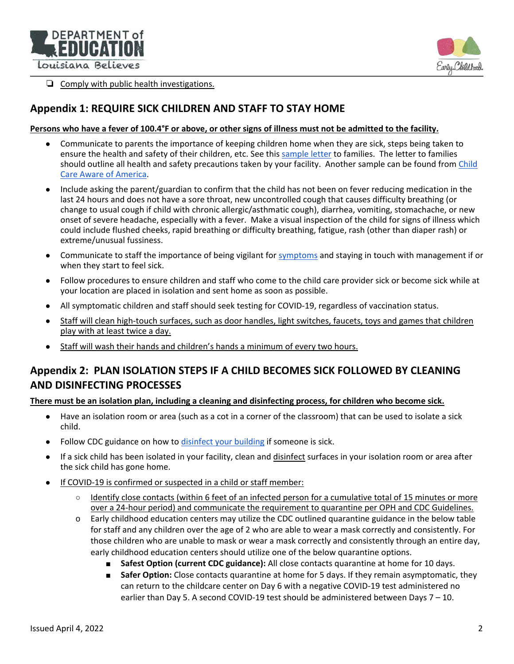



❏ Comply with public health investigations.

### <span id="page-1-0"></span>**Appendix 1: REQUIRE SICK CHILDREN AND STAFF TO STAY HOME**

#### **Persons who have a fever of 100.4°F or above, or other signs of illness must not be admitted to the facility.**

- Communicate to parents the importance of keeping children home when they are sick, steps being taken to ensure the health and safety of their children, etc. See this [sample letter](https://www.louisianabelieves.com/docs/default-source/strong-start-2020/sample-letter-to-families.docx?sfvrsn=227c9b1f_2) to families. The letter to families should outline all health and safety precautions taken by your facility. Another sample can be found fro[m Child](https://info.childcareaware.org/blog/grab-adapt-and-go-covid-19-resources-for-child-care-programs)  [Care Aware of America.](https://info.childcareaware.org/blog/grab-adapt-and-go-covid-19-resources-for-child-care-programs)
- Include asking the parent/guardian to confirm that the child has not been on fever reducing medication in the last 24 hours and does not have a sore throat, new uncontrolled cough that causes difficulty breathing (or change to usual cough if child with chronic allergic/asthmatic cough), diarrhea, vomiting, stomachache, or new onset of severe headache, especially with a fever. Make a visual inspection of the child for signs of illness which could include flushed cheeks, rapid breathing or difficulty breathing, fatigue, rash (other than diaper rash) or extreme/unusual fussiness.
- Communicate to staff the importance of being vigilant for [symptoms](https://www.cdc.gov/coronavirus/2019-ncov/downloads/COVID19-symptoms.pdf) and staying in touch with management if or when they start to feel sick.
- Follow procedures to ensure children and staff who come to the child care provider sick or become sick while at your location are placed in isolation and sent home as soon as possible.
- All symptomatic children and staff should seek testing for COVID-19, regardless of vaccination status.
- Staff will clean high-touch surfaces, such as door handles, light switches, faucets, toys and games that children play with at least twice a day.
- Staff will wash their hands and children's hands a minimum of every two hours.

## <span id="page-1-1"></span>**Appendix 2: PLAN ISOLATION STEPS IF A CHILD BECOMES SICK FOLLOWED BY CLEANING AND DISINFECTING PROCESSES**

#### **There must be an isolation plan, including a cleaning and disinfecting process, for children who become sick.**

- Have an isolation room or area (such as a cot in a corner of the classroom) that can be used to isolate a sick child.
- Follow CDC guidance on how to [disinfect your building](https://www.cdc.gov/coronavirus/2019-ncov/community/disinfecting-building-facility.html?CDC_AA_refVal=https%3A%2F%2Fwww.cdc.gov%2Fcoronavirus%2F2019-ncov%2Fprepare%2Fdisinfecting-building-facility.html) if someone is sick.
- If a sick child has been isolated in your facility, clean and disinfect surfaces in your isolation room or area after the sick child has gone home.
- If COVID-19 is confirmed or suspected in a child or staff member:
	- Identify close contacts (within 6 feet of an infected person for a cumulative total of 15 minutes or more over a 24-hour period) and communicate the requirement to quarantine per OPH and CDC Guidelines.
	- o Early childhood education centers may utilize the CDC outlined quarantine guidance in the below table for staff and any children over the age of 2 who are able to wear a mask correctly and consistently. For those children who are unable to mask or wear a mask correctly and consistently through an entire day, early childhood education centers should utilize one of the below quarantine options.
		- **Safest Option (current CDC guidance):** All close contacts quarantine at home for 10 days.
		- **Safer Option:** Close contacts quarantine at home for 5 days. If they remain asymptomatic, they can return to the childcare center on Day 6 with a negative COVID-19 test administered no earlier than Day 5. A second COVID-19 test should be administered between Days 7 – 10.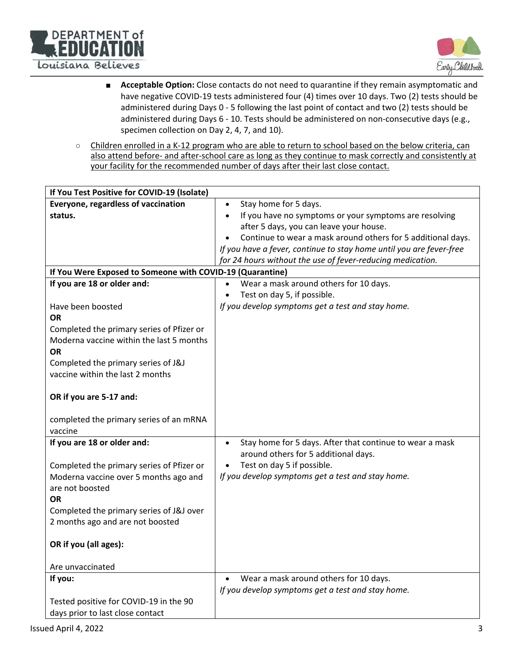



- **Acceptable Option:** Close contacts do not need to quarantine if they remain asymptomatic and have negative COVID-19 tests administered four (4) times over 10 days. Two (2) tests should be administered during Days 0 - 5 following the last point of contact and two (2) tests should be administered during Days 6 - 10. Tests should be administered on non-consecutive days (e.g., specimen collection on Day 2, 4, 7, and 10).
- Children enrolled in a K-12 program who are able to return to school based on the below criteria, can also attend before- and after-school care as long as they continue to mask correctly and consistently at your facility for the recommended number of days after their last close contact.

| If You Test Positive for COVID-19 (Isolate)               |                                                                       |
|-----------------------------------------------------------|-----------------------------------------------------------------------|
| Everyone, regardless of vaccination                       | Stay home for 5 days.<br>$\bullet$                                    |
| status.                                                   | If you have no symptoms or your symptoms are resolving<br>$\bullet$   |
|                                                           | after 5 days, you can leave your house.                               |
|                                                           | Continue to wear a mask around others for 5 additional days.          |
|                                                           | If you have a fever, continue to stay home until you are fever-free   |
|                                                           | for 24 hours without the use of fever-reducing medication.            |
| If You Were Exposed to Someone with COVID-19 (Quarantine) |                                                                       |
| If you are 18 or older and:                               | Wear a mask around others for 10 days.                                |
|                                                           | Test on day 5, if possible.                                           |
| Have been boosted                                         | If you develop symptoms get a test and stay home.                     |
| <b>OR</b>                                                 |                                                                       |
| Completed the primary series of Pfizer or                 |                                                                       |
| Moderna vaccine within the last 5 months                  |                                                                       |
| <b>OR</b>                                                 |                                                                       |
| Completed the primary series of J&J                       |                                                                       |
| vaccine within the last 2 months                          |                                                                       |
|                                                           |                                                                       |
| OR if you are 5-17 and:                                   |                                                                       |
|                                                           |                                                                       |
| completed the primary series of an mRNA                   |                                                                       |
| vaccine                                                   |                                                                       |
| If you are 18 or older and:                               | Stay home for 5 days. After that continue to wear a mask<br>$\bullet$ |
|                                                           | around others for 5 additional days.                                  |
| Completed the primary series of Pfizer or                 | Test on day 5 if possible.                                            |
| Moderna vaccine over 5 months ago and                     | If you develop symptoms get a test and stay home.                     |
| are not boosted                                           |                                                                       |
| <b>OR</b>                                                 |                                                                       |
| Completed the primary series of J&J over                  |                                                                       |
| 2 months ago and are not boosted                          |                                                                       |
|                                                           |                                                                       |
| OR if you (all ages):                                     |                                                                       |
|                                                           |                                                                       |
| Are unvaccinated                                          |                                                                       |
| If you:                                                   | Wear a mask around others for 10 days.<br>$\bullet$                   |
|                                                           | If you develop symptoms get a test and stay home.                     |
| Tested positive for COVID-19 in the 90                    |                                                                       |
| days prior to last close contact                          |                                                                       |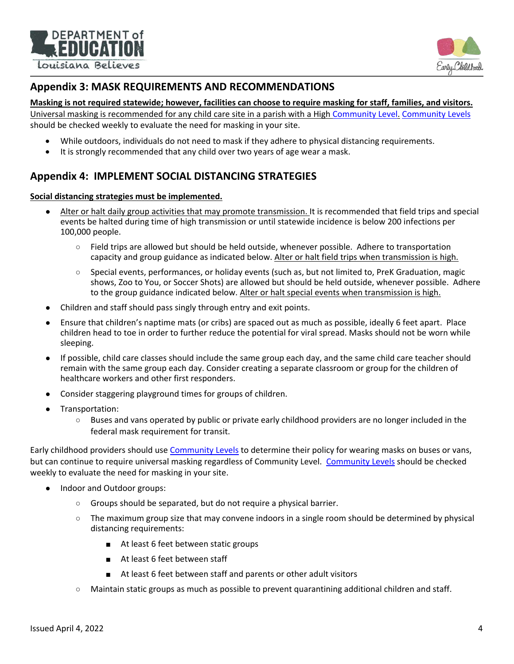



### <span id="page-3-0"></span>**Appendix 3: MASK REQUIREMENTS AND RECOMMENDATIONS**

#### **Masking is not required statewide; however, facilities can choose to require masking for staff, families, and visitors.**

Universal masking is recommended for any child care site in a parish with a High Community Level. [Community Levels](https://www.cdc.gov/coronavirus/2019-ncov/your-health/covid-by-county.html?CDC_AA_refVal=https%3A%2F%2Fwww.cdc.gov%2Fcoronavirus%2F2019-ncov%2Fscience%2Fcommunity-levels-county-map.html) should be checked weekly to evaluate the need for masking in your site.

- While outdoors, individuals do not need to mask if they adhere to physical distancing requirements.
- It is strongly recommended that any child over two years of age wear a mask.

## <span id="page-3-1"></span>**Appendix 4: IMPLEMENT SOCIAL DISTANCING STRATEGIES**

#### **Social distancing strategies must be implemented.**

- Alter or halt daily group activities that may promote transmission. It is recommended that field trips and special events be halted during time of high transmission or until statewide incidence is below 200 infections per 100,000 people.
	- Field trips are allowed but should be held outside, whenever possible. Adhere to transportation capacity and group guidance as indicated below. Alter or halt field trips when transmission is high.
	- Special events, performances, or holiday events (such as, but not limited to, PreK Graduation, magic shows, Zoo to You, or Soccer Shots) are allowed but should be held outside, whenever possible. Adhere to the group guidance indicated below. Alter or halt special events when transmission is high.
- Children and staff should pass singly through entry and exit points.
- Ensure that children's naptime mats (or cribs) are spaced out as much as possible, ideally 6 feet apart. Place children head to toe in order to further reduce the potential for viral spread. Masks should not be worn while sleeping.
- If possible, child care classes should include the same group each day, and the same child care teacher should remain with the same group each day. Consider creating a separate classroom or group for the children of healthcare workers and other first responders.
- Consider staggering playground times for groups of children.
- Transportation:
	- Buses and vans operated by public or private early childhood providers are no longer included in the federal mask requirement for transit.

Early childhood providers should us[e Community Levels](https://www.cdc.gov/coronavirus/2019-ncov/your-health/covid-by-county.html?CDC_AA_refVal=https%3A%2F%2Fwww.cdc.gov%2Fcoronavirus%2F2019-ncov%2Fscience%2Fcommunity-levels-county-map.html) to determine their policy for wearing masks on buses or vans, but can continue to require universal masking regardless of Community Level. [Community Levels](https://www.cdc.gov/coronavirus/2019-ncov/your-health/covid-by-county.html?CDC_AA_refVal=https%3A%2F%2Fwww.cdc.gov%2Fcoronavirus%2F2019-ncov%2Fscience%2Fcommunity-levels-county-map.html) should be checked weekly to evaluate the need for masking in your site.

- Indoor and Outdoor groups:
	- Groups should be separated, but do not require a physical barrier.
	- The maximum group size that may convene indoors in a single room should be determined by physical distancing requirements:
		- At least 6 feet between static groups
		- At least 6 feet between staff
		- At least 6 feet between staff and parents or other adult visitors
	- Maintain static groups as much as possible to prevent quarantining additional children and staff.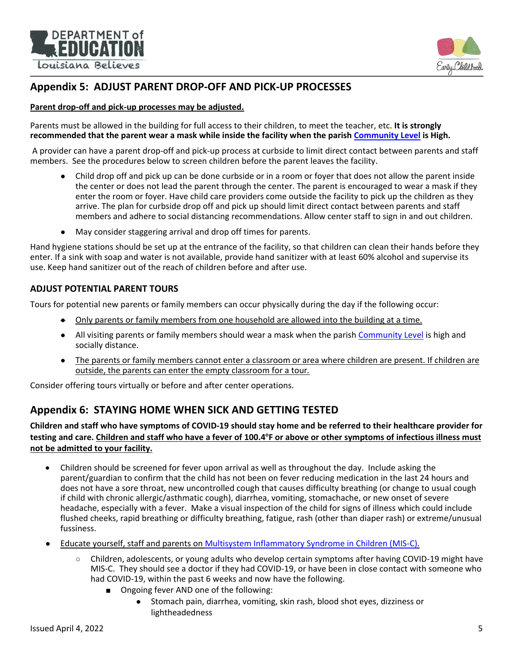



# <span id="page-4-0"></span>**Appendix 5: ADJUST PARENT DROP-OFF AND PICK-UP PROCESSES**

### **Parent drop-off and pick-up processes may be adjusted.**

Parents must be allowed in the building for full access to their children, to meet the teacher, etc. **It is strongly recommended that the parent wear a mask while inside the facility when the parish [Community Level](https://www.cdc.gov/coronavirus/2019-ncov/your-health/covid-by-county.html?CDC_AA_refVal=https%3A%2F%2Fwww.cdc.gov%2Fcoronavirus%2F2019-ncov%2Fscience%2Fcommunity-levels-county-map.html) is High.**

A provider can have a parent drop-off and pick-up process at curbside to limit direct contact between parents and staff members. See the procedures below to screen children before the parent leaves the facility.

- Child drop off and pick up can be done curbside or in a room or foyer that does not allow the parent inside the center or does not lead the parent through the center. The parent is encouraged to wear a mask if they enter the room or foyer. Have child care providers come outside the facility to pick up the children as they arrive. The plan for curbside drop off and pick up should limit direct contact between parents and staff members and adhere to social distancing recommendations. Allow center staff to sign in and out children.
- May consider staggering arrival and drop off times for parents.

Hand hygiene stations should be set up at the entrance of the facility, so that children can clean their hands before they enter. If a sink with soap and water is not available, provide hand sanitizer with at least 60% alcohol and supervise its use. Keep hand sanitizer out of the reach of children before and after use.

### **ADJUST POTENTIAL PARENT TOURS**

Tours for potential new parents or family members can occur physically during the day if the following occur:

- Only parents or family members from one household are allowed into the building at a time.
- All visiting parents or family members should wear a mask when the parish [Community Level](https://www.cdc.gov/coronavirus/2019-ncov/your-health/covid-by-county.html?CDC_AA_refVal=https%3A%2F%2Fwww.cdc.gov%2Fcoronavirus%2F2019-ncov%2Fscience%2Fcommunity-levels-county-map.html) is high and socially distance.
- The parents or family members cannot enter a classroom or area where children are present. If children are outside, the parents can enter the empty classroom for a tour*.*

<span id="page-4-1"></span>Consider offering tours virtually or before and after center operations.

### **Appendix 6: STAYING HOME WHEN SICK AND GETTING TESTED**

**Children and staff who have symptoms of COVID-19 should stay home and be referred to their healthcare provider for**  testing and care. Children and staff who have a fever of 100.4°F or above or other symptoms of infectious illness must **not be admitted to your facility.**

- Children should be screened for fever upon arrival as well as throughout the day. Include asking the parent/guardian to confirm that the child has not been on fever reducing medication in the last 24 hours and does not have a sore throat, new uncontrolled cough that causes difficulty breathing (or change to usual cough if child with chronic allergic/asthmatic cough), diarrhea, vomiting, stomachache, or new onset of severe headache, especially with a fever. Make a visual inspection of the child for signs of illness which could include flushed cheeks, rapid breathing or difficulty breathing, fatigue, rash (other than diaper rash) or extreme/unusual fussiness.
- Educate yourself, staff and parents on [Multisystem Inflammatory Syndrome in Children \(MIS-C\).](https://www.cdc.gov/mis/mis-c/hcp/provider-resources/symptoms.pdf)
	- Children, adolescents, or young adults who develop certain symptoms after having COVID-19 might have MIS-C. They should see a doctor if they had COVID-19, or have been in close contact with someone who had COVID-19, within the past 6 weeks and now have the following.
		- Ongoing fever AND one of the following:
			- Stomach pain, diarrhea, vomiting, skin rash, blood shot eyes, dizziness or lightheadedness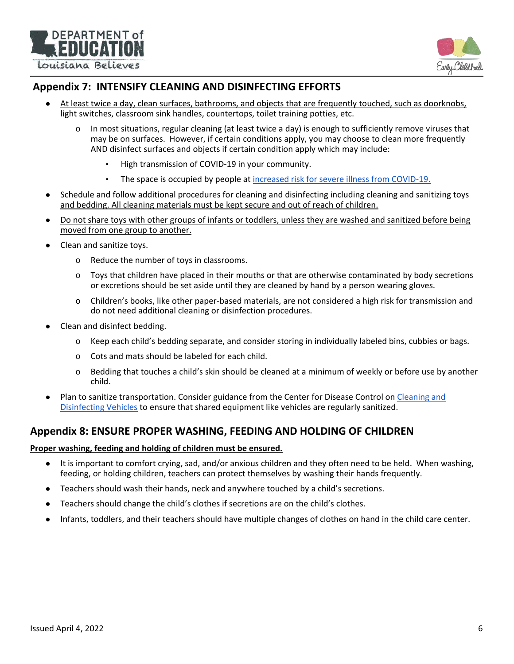



### <span id="page-5-0"></span>**Appendix 7: INTENSIFY CLEANING AND DISINFECTING EFFORTS**

- At least twice a day, clean surfaces, bathrooms, and objects that are frequently touched, such as doorknobs, light switches, classroom sink handles, countertops, toilet training potties, etc.
	- o In most situations, regular cleaning (at least twice a day) is enough to sufficiently remove viruses that may be on surfaces. However, if certain conditions apply, you may choose to clean more frequently AND disinfect surfaces and objects if certain condition apply which may include:
		- High transmission of COVID-19 in your community.
		- **The space is occupied by people at [increased risk for severe illness from COVID-19.](https://www.cdc.gov/coronavirus/2019-ncov/need-extra-precautions/people-with-medical-conditions.html)**
- Schedule and follow additional procedures for cleaning and disinfecting including cleaning and sanitizing toys and bedding. All cleaning materials must be kept secure and out of reach of children.
- Do not share toys with other groups of infants or toddlers, unless they are washed and sanitized before being moved from one group to another.
- Clean and sanitize toys.
	- o Reduce the number of toys in classrooms.
	- o Toys that children have placed in their mouths or that are otherwise contaminated by body secretions or excretions should be set aside until they are cleaned by hand by a person wearing gloves.
	- o Children's books, like other paper-based materials, are not considered a high risk for transmission and do not need additional cleaning or disinfection procedures.
- Clean and disinfect bedding.
	- o Keep each child's bedding separate, and consider storing in individually labeled bins, cubbies or bags.
	- o Cots and mats should be labeled for each child.
	- o Bedding that touches a child's skin should be cleaned at a minimum of weekly or before use by another child.
- Plan to sanitize transportation. Consider guidance from the Center for Disease Control on Cleaning and [Disinfecting Vehicles](https://www.cdc.gov/coronavirus/2019-ncov/community/organizations/disinfecting-transport-vehicles.html) to ensure that shared equipment like vehicles are regularly sanitized.

### <span id="page-5-1"></span>**Appendix 8: ENSURE PROPER WASHING, FEEDING AND HOLDING OF CHILDREN**

#### **Proper washing, feeding and holding of children must be ensured.**

- It is important to comfort crying, sad, and/or anxious children and they often need to be held. When washing, feeding, or holding children, teachers can protect themselves by washing their hands frequently.
- Teachers should wash their hands, neck and anywhere touched by a child's secretions.
- Teachers should change the child's clothes if secretions are on the child's clothes.
- <span id="page-5-2"></span>Infants, toddlers, and their teachers should have multiple changes of clothes on hand in the child care center.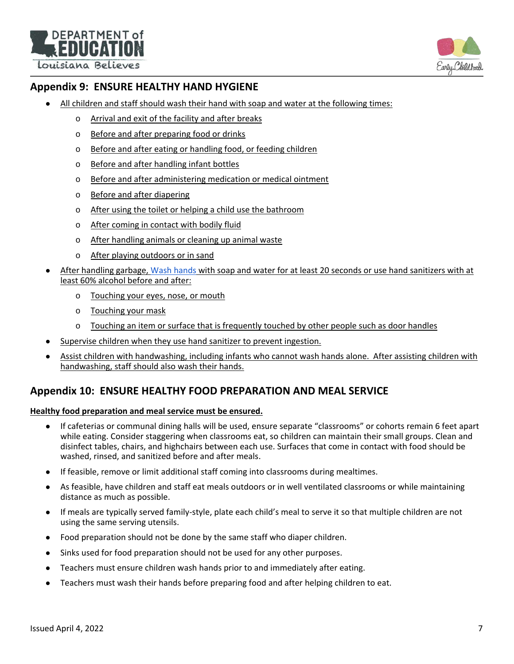DEPARTMENT of Louisiana Believes



# **Appendix 9: ENSURE HEALTHY HAND HYGIENE**

- All children and staff should wash their hand with soap and water at the following times:
	- o Arrival and exit of the facility and after breaks
	- o Before and after preparing food or drinks
	- o Before and after eating or handling food, or feeding children
	- o Before and after handling infant bottles
	- o Before and after administering medication or medical ointment
	- o Before and after diapering
	- o After using the toilet or helping a child use the bathroom
	- o After coming in contact with bodily fluid
	- o After handling animals or cleaning up animal waste
	- o After playing outdoors or in sand
- After handling garbage, [Wash hands](https://www.cdc.gov/handwashing/index.html) with soap and water for at least 20 seconds or use hand sanitizers with at least 60% alcohol before and after:
	- o Touching your eyes, nose, or mouth
	- o Touching your mask
	- $\circ$  Touching an item or surface that is frequently touched by other people such as door handles
- Supervise children when they use hand sanitizer to prevent ingestion.
- Assist children with handwashing, including infants who cannot wash hands alone. After assisting children with handwashing, staff should also wash their hands.

### **Appendix 10: ENSURE HEALTHY FOOD PREPARATION AND MEAL SERVICE**

### **Healthy food preparation and meal service must be ensured.**

- If cafeterias or communal dining halls will be used, ensure separate "classrooms" or cohorts remain 6 feet apart while eating. Consider staggering when classrooms eat, so children can maintain their small groups. Clean and disinfect tables, chairs, and highchairs between each use. Surfaces that come in contact with food should be washed, rinsed, and sanitized before and after meals.
- If feasible, remove or limit additional staff coming into classrooms during mealtimes.
- As feasible, have children and staff eat meals outdoors or in well ventilated classrooms or while maintaining distance as much as possible.
- If meals are typically served family-style, plate each child's meal to serve it so that multiple children are not using the same serving utensils.
- Food preparation should not be done by the same staff who diaper children.
- Sinks used for food preparation should not be used for any other purposes.
- Teachers must ensure children wash hands prior to and immediately after eating.
- <span id="page-6-0"></span>● Teachers must wash their hands before preparing food and after helping children to eat.